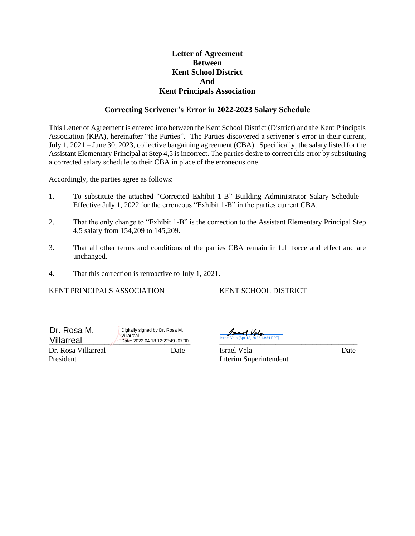#### **Letter of Agreement Between Kent School District And Kent Principals Association**

#### **Correcting Scrivener's Error in 2022-2023 Salary Schedule**

This Letter of Agreement is entered into between the Kent School District (District) and the Kent Principals Association (KPA), hereinafter "the Parties". The Parties discovered a scrivener's error in their current, July 1, 2021 – June 30, 2023, collective bargaining agreement (CBA). Specifically, the salary listed for the Assistant Elementary Principal at Step 4,5 is incorrect. The parties desire to correct this error by substituting a corrected salary schedule to their CBA in place of the erroneous one.

Accordingly, the parties agree as follows:

- 1. To substitute the attached "Corrected Exhibit 1-B" Building Administrator Salary Schedule Effective July 1, 2022 for the erroneous "Exhibit 1-B" in the parties current CBA.
- 2. That the only change to "Exhibit 1-B" is the correction to the Assistant Elementary Principal Step 4,5 salary from 154,209 to 145,209.
- 3. That all other terms and conditions of the parties CBA remain in full force and effect and are unchanged.
- 4. That this correction is retroactive to July 1, 2021.

KENT PRINCIPALS ASSOCIATION KENT SCHOOL DISTRICT

Dr. Rosa M. Villarreal

Digitally signed by Dr. Rosa M. Villarreal

Villarreal 2022.04.18 12:22:49 -07'00' Israel Vela (Apr 18, 2022 13:54 PDT)

Dr. Rosa Villarreal Date Israel Vela Date President Interim Superintendent